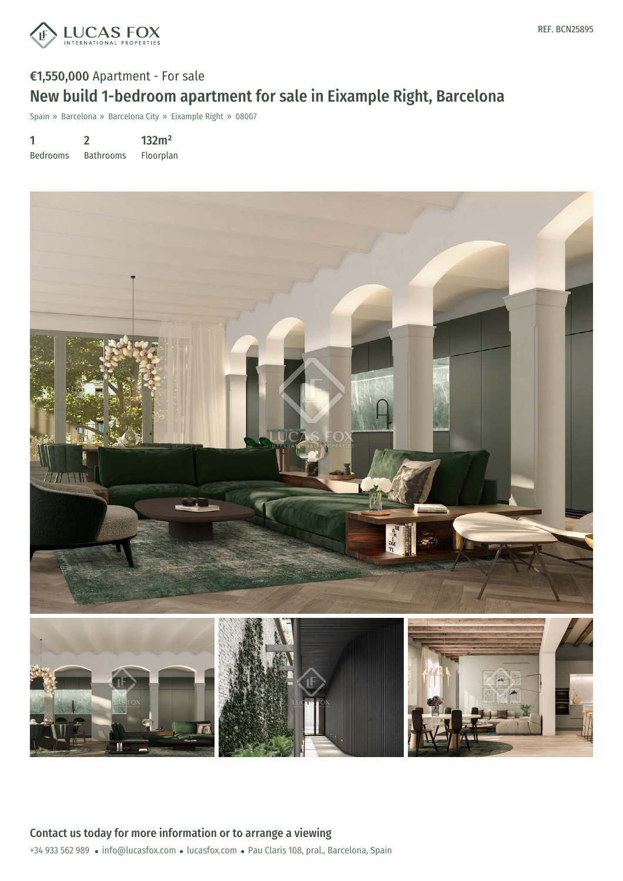

## €1,550,000 Apartment - For sale New build 1-bedroom apartment for sale in Eixample Right, Barcelona

Spain » Barcelona » Barcelona City » Eixample Right » 08007

1 Bedrooms 2 Bathrooms 132m² Floorplan

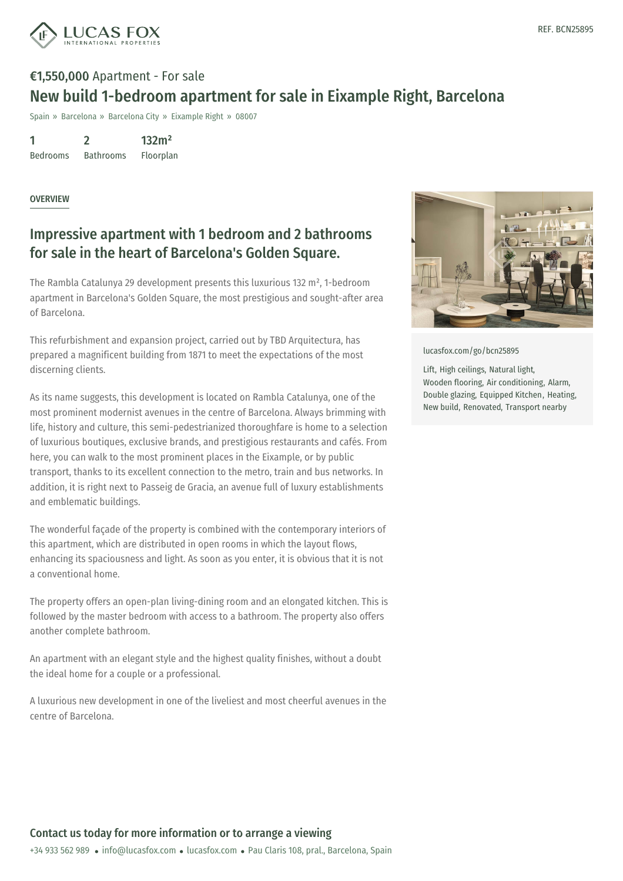

## €1,550,000 Apartment - For sale New build 1-bedroom apartment for sale in Eixample Right, Barcelona

Spain » Barcelona » Barcelona City » Eixample Right » 08007

1 Bedrooms 2 Bathrooms 132m² Floorplan

OVERVIEW

## Impressive apartment with 1 bedroom and 2 bathrooms for sale in the heart of Barcelona's Golden Square.

The Rambla Catalunya 29 development presents this luxurious 132 m², 1-bedroom apartment in Barcelona's Golden Square, the most prestigious and sought-after area of Barcelona.

This refurbishment and expansion project, carried out by TBD Arquitectura, has prepared a magnificent building from 1871 to meet the expectations of the most discerning clients.

As its name suggests, this development is located on Rambla Catalunya, one of the most prominent modernist avenues in the centre of Barcelona. Always brimming with life, history and culture, this semi-pedestrianized thoroughfare is home to a selection of luxurious boutiques, exclusive brands, and prestigious restaurants and cafés. From here, you can walk to the most prominent places in the Eixample, or by public transport, thanks to its excellent connection to the metro, train and bus networks. In addition, it is right next to Passeig de Gracia, an avenue full of luxury establishments and emblematic buildings.

The wonderful façade of the property is combined with the contemporary interiors of this apartment, which are distributed in open rooms in which the layout flows, enhancing its spaciousness and light. As soon as you enter, it is obvious that it is not a conventional home.

The property offers an open-plan living-dining room and an elongated kitchen. This is followed by the master bedroom with access to a bathroom. The property also offers another complete bathroom.

An apartment with an [elegant](mailto:info@lucasfox.com) style and the [highes](https://www.lucasfox.com)t quality finishes, without a doubt the ideal home for a couple or a professional.

A luxurious new development in one of the liveliest and most cheerful avenues in the centre of Barcelona.



[lucasfox.com/go/bcn25895](https://www.lucasfox.com/go/bcn25895)

Lift, High ceilings, Natural light, Wooden flooring, Air conditioning, Alarm, Double glazing, Equipped Kitchen, Heating, New build, Renovated, Transport nearby